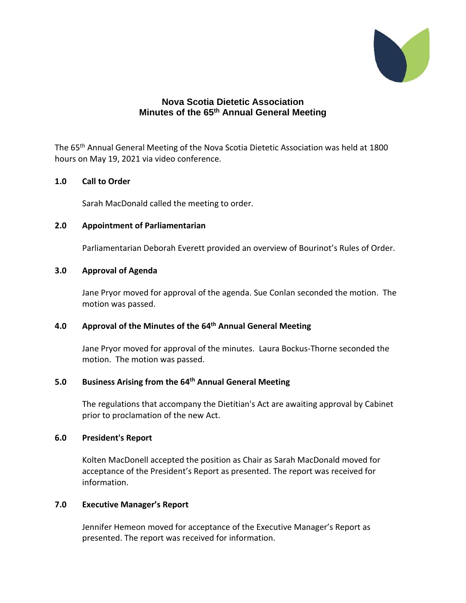

# **Nova Scotia Dietetic Association Minutes of the 65 th Annual General Meeting**

The 65<sup>th</sup> Annual General Meeting of the Nova Scotia Dietetic Association was held at 1800 hours on May 19, 2021 via video conference.

### **1.0 Call to Order**

Sarah MacDonald called the meeting to order.

### **2.0 Appointment of Parliamentarian**

Parliamentarian Deborah Everett provided an overview of Bourinot's Rules of Order.

### **3.0 Approval of Agenda**

Jane Pryor moved for approval of the agenda. Sue Conlan seconded the motion. The motion was passed.

## **4.0 Approval of the Minutes of the 64 th Annual General Meeting**

Jane Pryor moved for approval of the minutes. Laura Bockus-Thorne seconded the motion. The motion was passed.

## **5.0 Business Arising from the 64 th Annual General Meeting**

The regulations that accompany the Dietitian's Act are awaiting approval by Cabinet prior to proclamation of the new Act.

#### **6.0 President's Report**

Kolten MacDonell accepted the position as Chair as Sarah MacDonald moved for acceptance of the President's Report as presented. The report was received for information.

## **7.0 Executive Manager's Report**

Jennifer Hemeon moved for acceptance of the Executive Manager's Report as presented. The report was received for information.